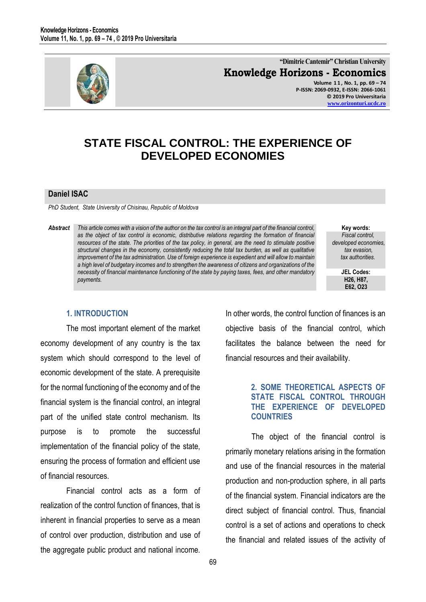

**"Dimitrie Cantemir" Christian University Knowledge Horizons - Economics Volume 1 1 , No. 1, pp. 69 – 74 P-ISSN: 2069-0932, E-ISSN: 2066-1061 © 2019 Pro Universitaria [www.orizonturi.ucdc.ro](http://www.orizonturi.ucdc.ro/)**

# **STATE FISCAL CONTROL: THE EXPERIENCE OF DEVELOPED ECONOMIES**

## **Daniel ISAC**

*PhD Student, State University of Chisinau, Republic of Moldova*

*Abstract This article comes with a vision of the author on the tax control is an integral part of the financial control, as the object of tax control is economic, distributive relations regarding the formation of financial resources of the state. The priorities of the tax policy, in general, are the need to stimulate positive structural changes in the economy, consistently reducing the total tax burden, as well as qualitative improvement of the tax administration. Use of foreign experience is expedient and will allow to maintain a high level of budgetary incomes and to strengthen the awareness of citizens and organizations of the necessity of financial maintenance functioning of the state by paying taxes, fees, and other mandatory payments.*

**Key words:** *Fiscal control, developed economies, tax evasion, tax authorities.*

> **JEL Codes: H26, H87, E62, O23**

### **1. INTRODUCTION**

The most important element of the market economy development of any country is the tax system which should correspond to the level of economic development of the state. A prerequisite for the normal functioning of the economy and of the financial system is the financial control, an integral part of the unified state control mechanism. Its purpose is to promote the successful implementation of the financial policy of the state, ensuring the process of formation and efficient use of financial resources.

Financial control acts as a form of realization of the control function of finances, that is inherent in financial properties to serve as a mean of control over production, distribution and use of the aggregate public product and national income. In other words, the control function of finances is an objective basis of the financial control, which facilitates the balance between the need for financial resources and their availability.

## **2. SOME THEORETICAL ASPECTS OF STATE FISCAL CONTROL THROUGH THE EXPERIENCE OF DEVELOPED COUNTRIES**

The object of the financial control is primarily monetary relations arising in the formation and use of the financial resources in the material production and non-production sphere, in all parts of the financial system. Financial indicators are the direct subject of financial control. Thus, financial control is a set of actions and operations to check the financial and related issues of the activity of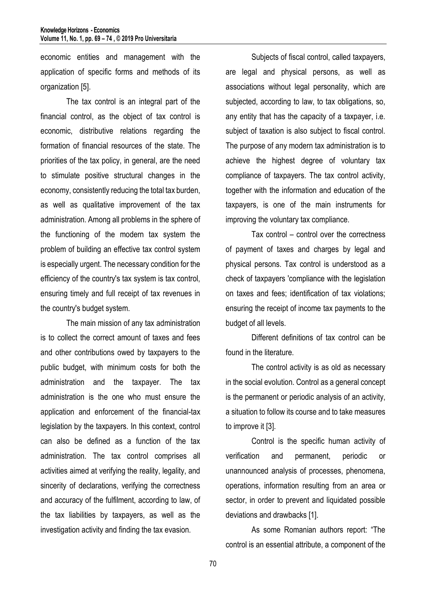economic entities and management with the application of specific forms and methods of its organization [5].

The tax control is an integral part of the financial control, as the object of tax control is economic, distributive relations regarding the formation of financial resources of the state. The priorities of the tax policy, in general, are the need to stimulate positive structural changes in the economy, consistently reducing the total tax burden, as well as qualitative improvement of the tax administration. Among all problems in the sphere of the functioning of the modern tax system the problem of building an effective tax control system is especially urgent. The necessary condition for the efficiency of the country's tax system is tax control, ensuring timely and full receipt of tax revenues in the country's budget system.

The main mission of any tax administration is to collect the correct amount of taxes and fees and other contributions owed by taxpayers to the public budget, with minimum costs for both the administration and the taxpayer. The tax administration is the one who must ensure the application and enforcement of the financial-tax legislation by the taxpayers. In this context, control can also be defined as a function of the tax administration. The tax control comprises all activities aimed at verifying the reality, legality, and sincerity of declarations, verifying the correctness and accuracy of the fulfilment, according to law, of the tax liabilities by taxpayers, as well as the investigation activity and finding the tax evasion.

Subjects of fiscal control, called taxpayers, are legal and physical persons, as well as associations without legal personality, which are subjected, according to law, to tax obligations, so, any entity that has the capacity of a taxpayer, i.e. subject of taxation is also subject to fiscal control. The purpose of any modern tax administration is to achieve the highest degree of voluntary tax compliance of taxpayers. The tax control activity, together with the information and education of the taxpayers, is one of the main instruments for improving the voluntary tax compliance.

Tax control – control over the correctness of payment of taxes and charges by legal and physical persons. Tax control is understood as a check of taxpayers 'compliance with the legislation on taxes and fees; identification of tax violations; ensuring the receipt of income tax payments to the budget of all levels.

Different definitions of tax control can be found in the literature.

The control activity is as old as necessary in the social evolution. Control as a general concept is the permanent or periodic analysis of an activity, a situation to follow its course and to take measures to improve it [3].

Control is the specific human activity of verification and permanent, periodic or unannounced analysis of processes, phenomena, operations, information resulting from an area or sector, in order to prevent and liquidated possible deviations and drawbacks [1].

As some Romanian authors report: "The control is an essential attribute, a component of the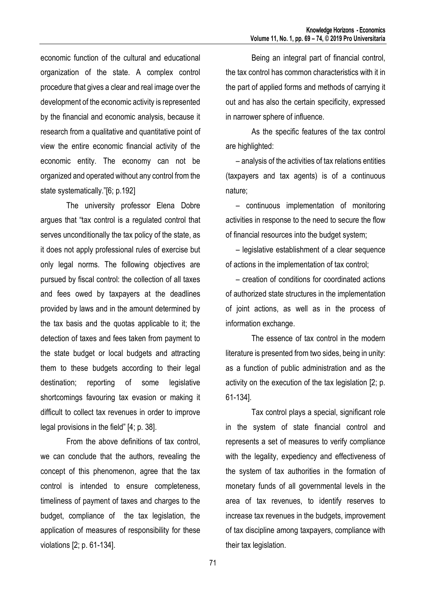economic function of the cultural and educational organization of the state. A complex control procedure that gives a clear and real image over the development of the economic activity is represented by the financial and economic analysis, because it research from a qualitative and quantitative point of view the entire economic financial activity of the economic entity. The economy can not be organized and operated without any control from the state systematically."[6; p.192]

The university professor Elena Dobre argues that "tax control is a regulated control that serves unconditionally the tax policy of the state, as it does not apply professional rules of exercise but only legal norms. The following objectives are pursued by fiscal control: the collection of all taxes and fees owed by taxpayers at the deadlines provided by laws and in the amount determined by the tax basis and the quotas applicable to it; the detection of taxes and fees taken from payment to the state budget or local budgets and attracting them to these budgets according to their legal destination; reporting of some legislative shortcomings favouring tax evasion or making it difficult to collect tax revenues in order to improve legal provisions in the field" [4; p. 38].

From the above definitions of tax control, we can conclude that the authors, revealing the concept of this phenomenon, agree that the tax control is intended to ensure completeness, timeliness of payment of taxes and charges to the budget, compliance of the tax legislation, the application of measures of responsibility for these violations [2; p. 61-134].

Being an integral part of financial control, the tax control has common characteristics with it in the part of applied forms and methods of carrying it out and has also the certain specificity, expressed in narrower sphere of influence.

As the specific features of the tax control are highlighted:

– analysis of the activities of tax relations entities (taxpayers and tax agents) is of a continuous nature;

– continuous implementation of monitoring activities in response to the need to secure the flow of financial resources into the budget system;

– legislative establishment of a clear sequence of actions in the implementation of tax control;

– creation of conditions for coordinated actions of authorized state structures in the implementation of joint actions, as well as in the process of information exchange.

The essence of tax control in the modern literature is presented from two sides, being in unity: as a function of public administration and as the activity on the execution of the tax legislation [2; p. 61-134].

Tax control plays a special, significant role in the system of state financial control and represents a set of measures to verify compliance with the legality, expediency and effectiveness of the system of tax authorities in the formation of monetary funds of all governmental levels in the area of tax revenues, to identify reserves to increase tax revenues in the budgets, improvement of tax discipline among taxpayers, compliance with their tax legislation.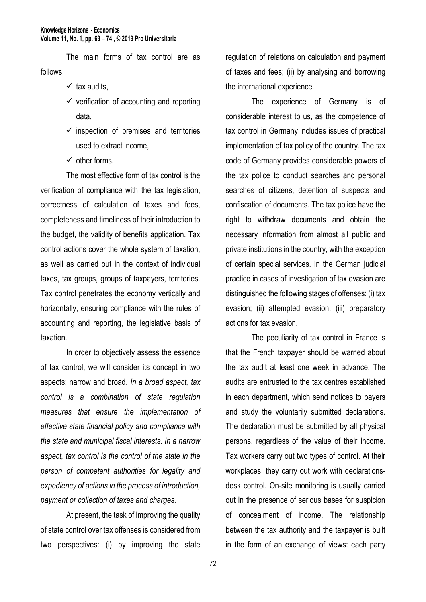The main forms of tax control are as follows:

- $\times$  tax audits.
- $\checkmark$  verification of accounting and reporting data,
- $\checkmark$  inspection of premises and territories used to extract income,
- $\checkmark$  other forms.

The most effective form of tax control is the verification of compliance with the tax legislation, correctness of calculation of taxes and fees, completeness and timeliness of their introduction to the budget, the validity of benefits application. Tax control actions cover the whole system of taxation, as well as carried out in the context of individual taxes, tax groups, groups of taxpayers, territories. Tax control penetrates the economy vertically and horizontally, ensuring compliance with the rules of accounting and reporting, the legislative basis of taxation.

In order to objectively assess the essence of tax control, we will consider its concept in two aspects: narrow and broad. *In a broad aspect, tax control is a combination of state regulation measures that ensure the implementation of effective state financial policy and compliance with the state and municipal fiscal interests. In a narrow aspect, tax control is the control of the state in the person of competent authorities for legality and expediency of actions in the process of introduction, payment or collection of taxes and charges.*

At present, the task of improving the quality of state control over tax offenses is considered from two perspectives: (i) by improving the state

regulation of relations on calculation and payment of taxes and fees; (ii) by analysing and borrowing the international experience.

The experience of Germany is of considerable interest to us, as the competence of tax control in Germany includes issues of practical implementation of tax policy of the country. The tax code of Germany provides considerable powers of the tax police to conduct searches and personal searches of citizens, detention of suspects and confiscation of documents. The tax police have the right to withdraw documents and obtain the necessary information from almost all public and private institutions in the country, with the exception of certain special services. In the German judicial practice in cases of investigation of tax evasion are distinguished the following stages of offenses: (i) tax evasion; (ii) attempted evasion; (iii) preparatory actions for tax evasion.

The peculiarity of tax control in France is that the French taxpayer should be warned about the tax audit at least one week in advance. The audits are entrusted to the tax centres established in each department, which send notices to payers and study the voluntarily submitted declarations. The declaration must be submitted by all physical persons, regardless of the value of their income. Tax workers carry out two types of control. At their workplaces, they carry out work with declarationsdesk control. On-site monitoring is usually carried out in the presence of serious bases for suspicion of concealment of income. The relationship between the tax authority and the taxpayer is built in the form of an exchange of views: each party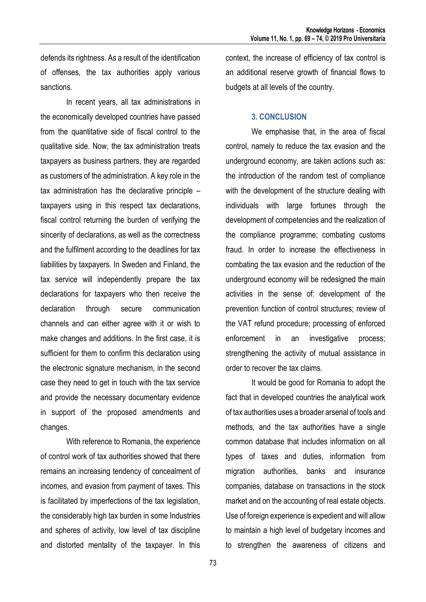defends its rightness. As a result of the identification of offenses, the tax authorities apply various sanctions.

In recent years, all tax administrations in the economically developed countries have passed from the quantitative side of fiscal control to the qualitative side. Now, the tax administration treats taxpayers as business partners, they are regarded as customers of the administration. A key role in the tax administration has the declarative principle – taxpayers using in this respect tax declarations, fiscal control returning the burden of verifying the sincerity of declarations, as well as the correctness and the fulfilment according to the deadlines for tax liabilities by taxpayers. In Sweden and Finland, the tax service will independently prepare the tax declarations for taxpayers who then receive the declaration through secure communication channels and can either agree with it or wish to make changes and additions. In the first case, it is sufficient for them to confirm this declaration using the electronic signature mechanism, in the second case they need to get in touch with the tax service and provide the necessary documentary evidence in support of the proposed amendments and changes.

With reference to Romania, the experience of control work of tax authorities showed that there remains an increasing tendency of concealment of incomes, and evasion from payment of taxes. This is facilitated by imperfections of the tax legislation, the considerably high tax burden in some Industries and spheres of activity, low level of tax discipline and distorted mentality of the taxpayer. In this context, the increase of efficiency of tax control is an additional reserve growth of financial flows to budgets at all levels of the country.

### **3. CONCLUSION**

We emphasise that, in the area of fiscal control, namely to reduce the tax evasion and the underground economy, are taken actions such as: the introduction of the random test of compliance with the development of the structure dealing with individuals with large fortunes through the development of competencies and the realization of the compliance programme; combating customs fraud. In order to increase the effectiveness in combating the tax evasion and the reduction of the underground economy will be redesigned the main activities in the sense of: development of the prevention function of control structures; review of the VAT refund procedure; processing of enforced enforcement in an investigative process; strengthening the activity of mutual assistance in order to recover the tax claims.

It would be good for Romania to adopt the fact that in developed countries the analytical work of tax authorities uses a broader arsenal of tools and methods, and the tax authorities have a single common database that includes information on all types of taxes and duties, information from migration authorities, banks and insurance companies, database on transactions in the stock market and on the accounting of real estate objects. Use of foreign experience is expedient and will allow to maintain a high level of budgetary incomes and to strengthen the awareness of citizens and